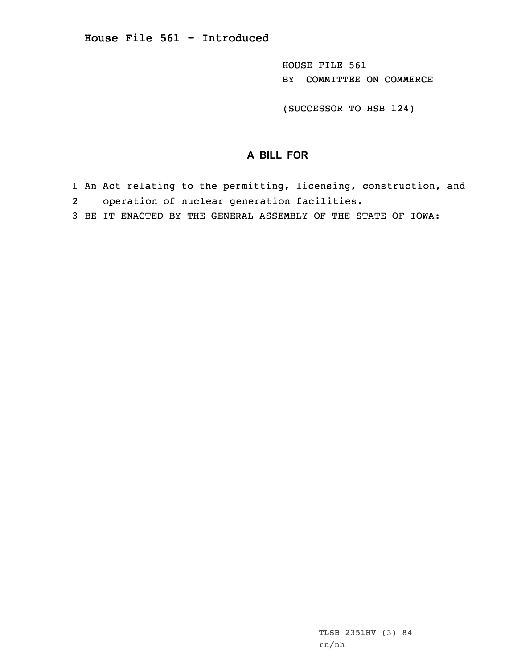HOUSE FILE 561 BY COMMITTEE ON COMMERCE

(SUCCESSOR TO HSB 124)

## **A BILL FOR**

- 1 An Act relating to the permitting, licensing, construction, and 2operation of nuclear generation facilities.
- 3 BE IT ENACTED BY THE GENERAL ASSEMBLY OF THE STATE OF IOWA: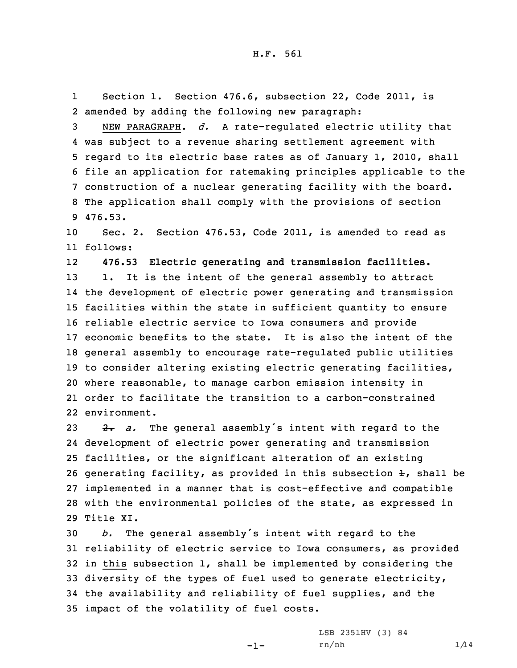1 Section 1. Section 476.6, subsection 22, Code 2011, is 2 amended by adding the following new paragraph:

 NEW PARAGRAPH. *d.* <sup>A</sup> rate-regulated electric utility that was subject to <sup>a</sup> revenue sharing settlement agreement with regard to its electric base rates as of January 1, 2010, shall file an application for ratemaking principles applicable to the construction of <sup>a</sup> nuclear generating facility with the board. The application shall comply with the provisions of section 9 476.53.

10 Sec. 2. Section 476.53, Code 2011, is amended to read as 11 follows:

12**476.53 Electric generating and transmission facilities.**

13 1. It is the intent of the general assembly to attract the development of electric power generating and transmission facilities within the state in sufficient quantity to ensure reliable electric service to Iowa consumers and provide economic benefits to the state. It is also the intent of the general assembly to encourage rate-regulated public utilities to consider altering existing electric generating facilities, where reasonable, to manage carbon emission intensity in order to facilitate the transition to <sup>a</sup> carbon-constrained environment.

23 2. a. The general assembly's intent with regard to the development of electric power generating and transmission facilities, or the significant alteration of an existing 26 generating facility, as provided in this subsection  $\pm$ , shall be implemented in <sup>a</sup> manner that is cost-effective and compatible with the environmental policies of the state, as expressed in Title XI.

 *b.* The general assembly's intent with regard to the reliability of electric service to Iowa consumers, as provided 32 in this subsection  $\pm$ , shall be implemented by considering the diversity of the types of fuel used to generate electricity, the availability and reliability of fuel supplies, and the impact of the volatility of fuel costs.

-1-

LSB 2351HV (3) 84  $rn/nh$  1/14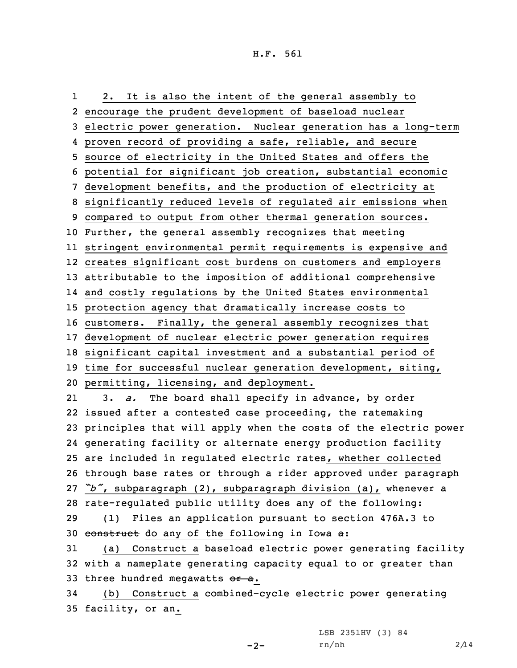1 2. It is also the intent of the general assembly to encourage the prudent development of baseload nuclear electric power generation. Nuclear generation has <sup>a</sup> long-term proven record of providing <sup>a</sup> safe, reliable, and secure source of electricity in the United States and offers the potential for significant job creation, substantial economic development benefits, and the production of electricity at significantly reduced levels of regulated air emissions when compared to output from other thermal generation sources. Further, the general assembly recognizes that meeting stringent environmental permit requirements is expensive and creates significant cost burdens on customers and employers attributable to the imposition of additional comprehensive and costly regulations by the United States environmental protection agency that dramatically increase costs to customers. Finally, the general assembly recognizes that development of nuclear electric power generation requires significant capital investment and <sup>a</sup> substantial period of time for successful nuclear generation development, siting, permitting, licensing, and deployment. 21 3. *a.* The board shall specify in advance, by order issued after <sup>a</sup> contested case proceeding, the ratemaking principles that will apply when the costs of the electric power generating facility or alternate energy production facility are included in regulated electric rates, whether collected through base rates or through <sup>a</sup> rider approved under paragraph *"b"*, subparagraph (2), subparagraph division (a), whenever <sup>a</sup> rate-regulated public utility does any of the following: (1) Files an application pursuant to section 476A.3 to construct do any of the following in Iowa a: (a) Construct <sup>a</sup> baseload electric power generating facility with <sup>a</sup> nameplate generating capacity equal to or greater than 33 three hundred megawatts  $or a$ . (b) Construct <sup>a</sup> combined-cycle electric power generating

35 facility, or an.

LSB 2351HV (3) 84

 $-2-$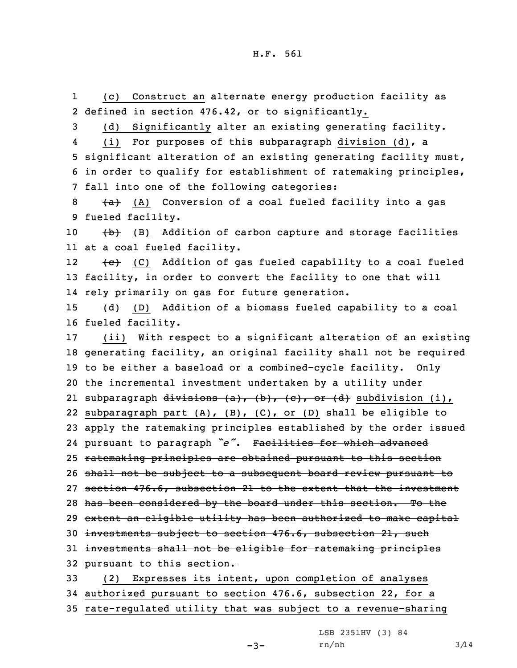1 (c) Construct an alternate energy production facility as 2 defined in section 476.42<del>, or to significantly</del>.

3 (d) Significantly alter an existing generating facility.

4 (i) For purposes of this subparagraph division (d), <sup>a</sup> 5 significant alteration of an existing generating facility must, 6 in order to qualify for establishment of ratemaking principles, 7 fall into one of the following categories:

 $8$  (A) Conversion of a coal fueled facility into a gas 9 fueled facility.

10  $(b)$  (B) Addition of carbon capture and storage facilities 11 at <sup>a</sup> coal fueled facility.

12 (c) (C) Addition of gas fueled capability to <sup>a</sup> coal fueled 13 facility, in order to convert the facility to one that will 14 rely primarily on gas for future generation.

15  $\{d\}$  (D) Addition of a biomass fueled capability to a coal 16 fueled facility.

 (ii) With respect to <sup>a</sup> significant alteration of an existing generating facility, an original facility shall not be required to be either <sup>a</sup> baseload or <sup>a</sup> combined-cycle facility. Only the incremental investment undertaken by <sup>a</sup> utility under 21 subparagraph <del>divisions (a), (b), (c), or (d)</del> subdivision (i), subparagraph part (A), (B), (C), or (D) shall be eligible to apply the ratemaking principles established by the order issued pursuant to paragraph *"e"*. Facilities for which advanced ratemaking principles are obtained pursuant to this section 26 shall not be subject to a subsequent board review pursuant to section 476.6, subsection 21 to the extent that the investment 28 has been considered by the board under this section. To the extent an eligible utility has been authorized to make capital investments subject to section 476.6, subsection 21, such investments shall not be eligible for ratemaking principles pursuant to this section. (2) Expresses its intent, upon completion of analyses authorized pursuant to section 476.6, subsection 22, for <sup>a</sup>

35 rate-regulated utility that was subject to <sup>a</sup> revenue-sharing

LSB 2351HV (3) 84

 $rn/nh$  3/14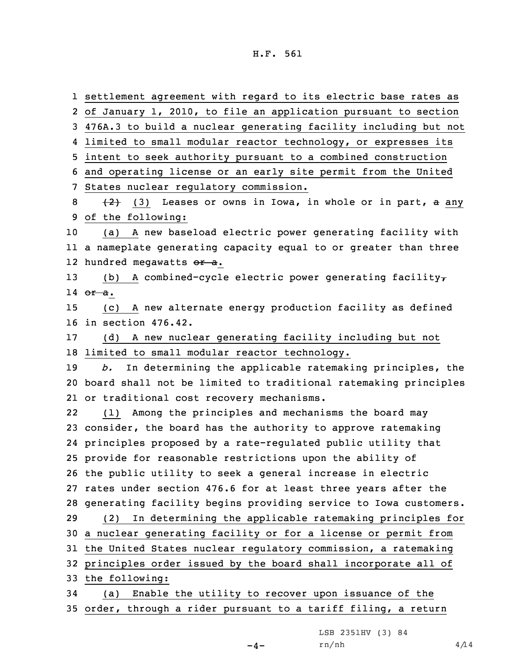settlement agreement with regard to its electric base rates as of January 1, 2010, to file an application pursuant to section 476A.3 to build <sup>a</sup> nuclear generating facility including but not limited to small modular reactor technology, or expresses its intent to seek authority pursuant to <sup>a</sup> combined construction and operating license or an early site permit from the United States nuclear regulatory commission.  $\{2\}$  (3) Leases or owns in Iowa, in whole or in part, a any of the following: (a) <sup>A</sup> new baseload electric power generating facility with <sup>a</sup> nameplate generating capacity equal to or greater than three 12 hundred megawatts <del>or a</del>. 13 (b) A combined-cycle electric power generating facility $\tau$ 14 or a. (c) <sup>A</sup> new alternate energy production facility as defined in section 476.42. (d) <sup>A</sup> new nuclear generating facility including but not limited to small modular reactor technology. *b.* In determining the applicable ratemaking principles, the board shall not be limited to traditional ratemaking principles or traditional cost recovery mechanisms. 22 (1) Among the principles and mechanisms the board may consider, the board has the authority to approve ratemaking principles proposed by <sup>a</sup> rate-regulated public utility that provide for reasonable restrictions upon the ability of the public utility to seek <sup>a</sup> general increase in electric rates under section 476.6 for at least three years after the generating facility begins providing service to Iowa customers. (2) In determining the applicable ratemaking principles for <sup>a</sup> nuclear generating facility or for <sup>a</sup> license or permit from the United States nuclear regulatory commission, <sup>a</sup> ratemaking principles order issued by the board shall incorporate all of the following: (a) Enable the utility to recover upon issuance of the order, through <sup>a</sup> rider pursuant to <sup>a</sup> tariff filing, <sup>a</sup> return

LSB 2351HV (3) 84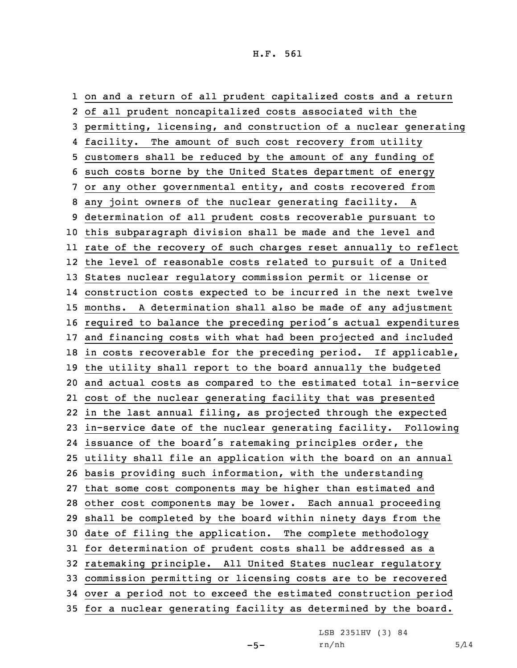on and <sup>a</sup> return of all prudent capitalized costs and <sup>a</sup> return of all prudent noncapitalized costs associated with the permitting, licensing, and construction of <sup>a</sup> nuclear generating facility. The amount of such cost recovery from utility customers shall be reduced by the amount of any funding of such costs borne by the United States department of energy or any other governmental entity, and costs recovered from any joint owners of the nuclear generating facility. <sup>A</sup> determination of all prudent costs recoverable pursuant to this subparagraph division shall be made and the level and rate of the recovery of such charges reset annually to reflect the level of reasonable costs related to pursuit of <sup>a</sup> United States nuclear regulatory commission permit or license or construction costs expected to be incurred in the next twelve months. <sup>A</sup> determination shall also be made of any adjustment required to balance the preceding period's actual expenditures and financing costs with what had been projected and included in costs recoverable for the preceding period. If applicable, the utility shall report to the board annually the budgeted and actual costs as compared to the estimated total in-service cost of the nuclear generating facility that was presented in the last annual filing, as projected through the expected in-service date of the nuclear generating facility. Following issuance of the board's ratemaking principles order, the utility shall file an application with the board on an annual basis providing such information, with the understanding that some cost components may be higher than estimated and other cost components may be lower. Each annual proceeding shall be completed by the board within ninety days from the date of filing the application. The complete methodology for determination of prudent costs shall be addressed as <sup>a</sup> ratemaking principle. All United States nuclear regulatory commission permitting or licensing costs are to be recovered over <sup>a</sup> period not to exceed the estimated construction period for <sup>a</sup> nuclear generating facility as determined by the board.

LSB 2351HV (3) 84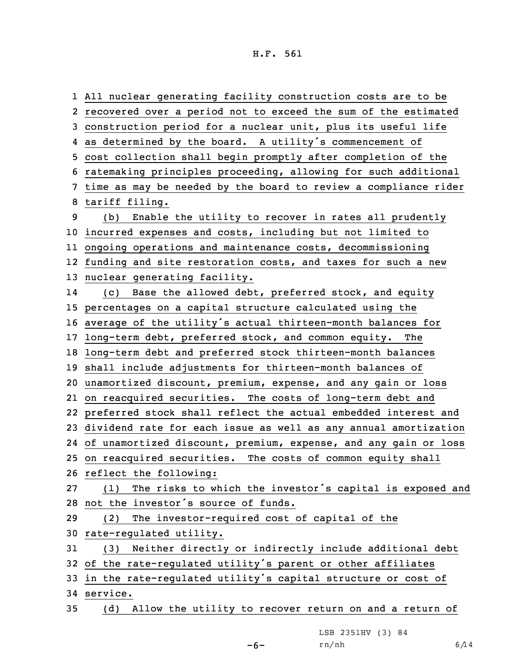All nuclear generating facility construction costs are to be recovered over <sup>a</sup> period not to exceed the sum of the estimated construction period for <sup>a</sup> nuclear unit, plus its useful life as determined by the board. <sup>A</sup> utility's commencement of cost collection shall begin promptly after completion of the ratemaking principles proceeding, allowing for such additional time as may be needed by the board to review <sup>a</sup> compliance rider tariff filing. (b) Enable the utility to recover in rates all prudently incurred expenses and costs, including but not limited to ongoing operations and maintenance costs, decommissioning funding and site restoration costs, and taxes for such <sup>a</sup> new nuclear generating facility. 14 (c) Base the allowed debt, preferred stock, and equity percentages on <sup>a</sup> capital structure calculated using the average of the utility's actual thirteen-month balances for long-term debt, preferred stock, and common equity. The long-term debt and preferred stock thirteen-month balances shall include adjustments for thirteen-month balances of unamortized discount, premium, expense, and any gain or loss on reacquired securities. The costs of long-term debt and preferred stock shall reflect the actual embedded interest and dividend rate for each issue as well as any annual amortization of unamortized discount, premium, expense, and any gain or loss on reacquired securities. The costs of common equity shall reflect the following: (1) The risks to which the investor's capital is exposed and not the investor's source of funds. (2) The investor-required cost of capital of the rate-regulated utility. (3) Neither directly or indirectly include additional debt of the rate-regulated utility's parent or other affiliates in the rate-regulated utility's capital structure or cost of 34 service. (d) Allow the utility to recover return on and <sup>a</sup> return of

LSB 2351HV (3) 84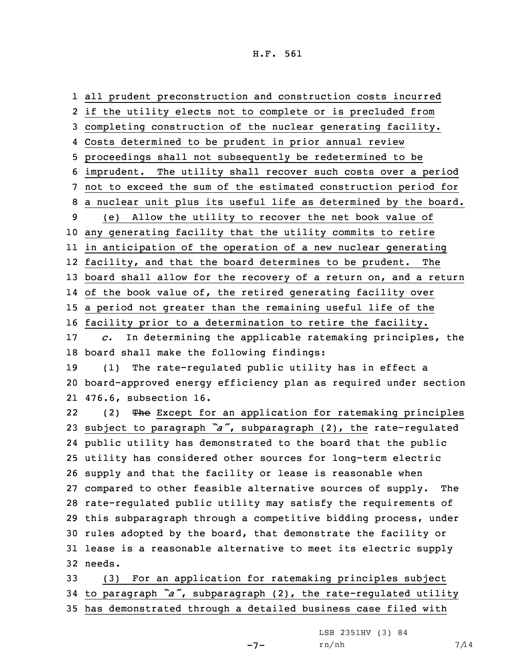all prudent preconstruction and construction costs incurred if the utility elects not to complete or is precluded from completing construction of the nuclear generating facility. Costs determined to be prudent in prior annual review proceedings shall not subsequently be redetermined to be imprudent. The utility shall recover such costs over <sup>a</sup> period not to exceed the sum of the estimated construction period for <sup>a</sup> nuclear unit plus its useful life as determined by the board. (e) Allow the utility to recover the net book value of any generating facility that the utility commits to retire in anticipation of the operation of <sup>a</sup> new nuclear generating facility, and that the board determines to be prudent. The board shall allow for the recovery of <sup>a</sup> return on, and <sup>a</sup> return of the book value of, the retired generating facility over <sup>a</sup> period not greater than the remaining useful life of the facility prior to <sup>a</sup> determination to retire the facility. *c.* In determining the applicable ratemaking principles, the board shall make the following findings: (1) The rate-regulated public utility has in effect <sup>a</sup> board-approved energy efficiency plan as required under section 476.6, subsection 16. 22(2) The Except for an application for ratemaking principles subject to paragraph *"a"*, subparagraph (2), the rate-regulated public utility has demonstrated to the board that the public utility has considered other sources for long-term electric supply and that the facility or lease is reasonable when compared to other feasible alternative sources of supply. The rate-regulated public utility may satisfy the requirements of this subparagraph through <sup>a</sup> competitive bidding process, under rules adopted by the board, that demonstrate the facility or lease is <sup>a</sup> reasonable alternative to meet its electric supply 32 needs. (3) For an application for ratemaking principles subject

<sup>34</sup> to paragraph *"a"*, subparagraph (2), the rate-regulated utility 35 has demonstrated through <sup>a</sup> detailed business case filed with

LSB 2351HV (3) 84

 $rn/nh$  7/14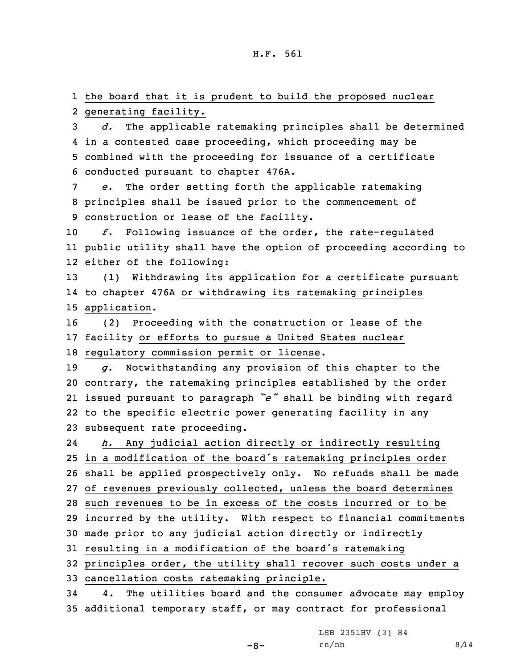1 the board that it is prudent to build the proposed nuclear 2 generating facility.

 *d.* The applicable ratemaking principles shall be determined in <sup>a</sup> contested case proceeding, which proceeding may be combined with the proceeding for issuance of <sup>a</sup> certificate conducted pursuant to chapter 476A.

7 *e.* The order setting forth the applicable ratemaking 8 principles shall be issued prior to the commencement of 9 construction or lease of the facility.

10 *f.* Following issuance of the order, the rate-regulated 11 public utility shall have the option of proceeding according to 12 either of the following:

13 (1) Withdrawing its application for <sup>a</sup> certificate pursuant 14 to chapter 476A or withdrawing its ratemaking principles 15 application.

16 (2) Proceeding with the construction or lease of the 17 facility or efforts to pursue <sup>a</sup> United States nuclear 18 regulatory commission permit or license.

 *g.* Notwithstanding any provision of this chapter to the contrary, the ratemaking principles established by the order issued pursuant to paragraph *"e"* shall be binding with regard to the specific electric power generating facility in any subsequent rate proceeding.

24 *h.* Any judicial action directly or indirectly resulting in <sup>a</sup> modification of the board's ratemaking principles order shall be applied prospectively only. No refunds shall be made of revenues previously collected, unless the board determines such revenues to be in excess of the costs incurred or to be incurred by the utility. With respect to financial commitments made prior to any judicial action directly or indirectly resulting in <sup>a</sup> modification of the board's ratemaking principles order, the utility shall recover such costs under <sup>a</sup>

33 cancellation costs ratemaking principle.

34 4. The utilities board and the consumer advocate may employ 35 additional temporary staff, or may contract for professional

LSB 2351HV (3) 84

-8-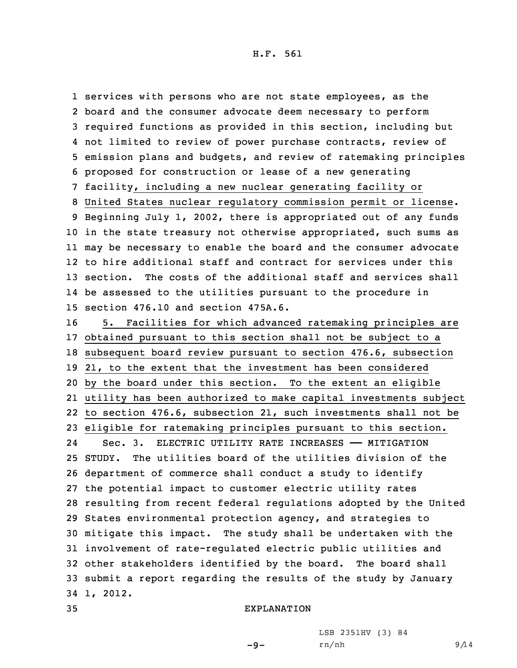services with persons who are not state employees, as the board and the consumer advocate deem necessary to perform required functions as provided in this section, including but not limited to review of power purchase contracts, review of emission plans and budgets, and review of ratemaking principles proposed for construction or lease of <sup>a</sup> new generating facility, including <sup>a</sup> new nuclear generating facility or United States nuclear regulatory commission permit or license. Beginning July 1, 2002, there is appropriated out of any funds in the state treasury not otherwise appropriated, such sums as may be necessary to enable the board and the consumer advocate to hire additional staff and contract for services under this section. The costs of the additional staff and services shall be assessed to the utilities pursuant to the procedure in section 476.10 and section 475A.6.

 5. Facilities for which advanced ratemaking principles are obtained pursuant to this section shall not be subject to <sup>a</sup> subsequent board review pursuant to section 476.6, subsection 21, to the extent that the investment has been considered by the board under this section. To the extent an eligible utility has been authorized to make capital investments subject to section 476.6, subsection 21, such investments shall not be eligible for ratemaking principles pursuant to this section. 24 Sec. 3. ELECTRIC UTILITY RATE INCREASES —— MITIGATION STUDY. The utilities board of the utilities division of the department of commerce shall conduct <sup>a</sup> study to identify the potential impact to customer electric utility rates resulting from recent federal regulations adopted by the United States environmental protection agency, and strategies to mitigate this impact. The study shall be undertaken with the involvement of rate-regulated electric public utilities and other stakeholders identified by the board. The board shall submit <sup>a</sup> report regarding the results of the study by January 34 1, 2012.

```
35 EXPLANATION
```
LSB 2351HV (3) 84

-9-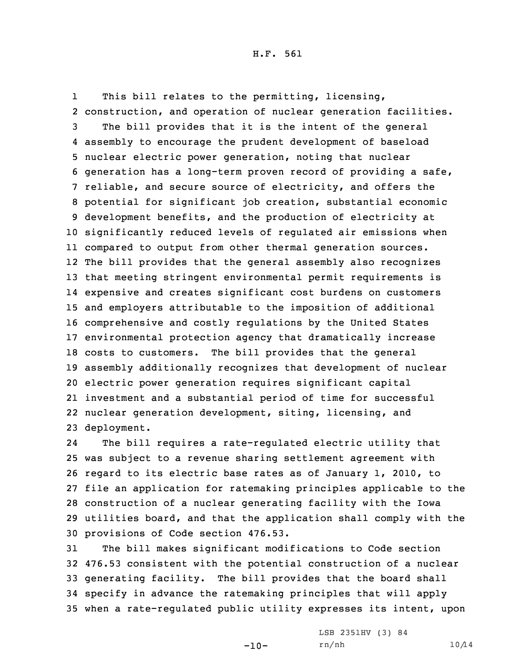1 This bill relates to the permitting, licensing, construction, and operation of nuclear generation facilities. The bill provides that it is the intent of the general assembly to encourage the prudent development of baseload nuclear electric power generation, noting that nuclear generation has <sup>a</sup> long-term proven record of providing <sup>a</sup> safe, reliable, and secure source of electricity, and offers the potential for significant job creation, substantial economic development benefits, and the production of electricity at significantly reduced levels of regulated air emissions when compared to output from other thermal generation sources. The bill provides that the general assembly also recognizes that meeting stringent environmental permit requirements is expensive and creates significant cost burdens on customers and employers attributable to the imposition of additional comprehensive and costly regulations by the United States environmental protection agency that dramatically increase costs to customers. The bill provides that the general assembly additionally recognizes that development of nuclear electric power generation requires significant capital investment and <sup>a</sup> substantial period of time for successful nuclear generation development, siting, licensing, and deployment.

24 The bill requires <sup>a</sup> rate-regulated electric utility that was subject to <sup>a</sup> revenue sharing settlement agreement with regard to its electric base rates as of January 1, 2010, to file an application for ratemaking principles applicable to the construction of <sup>a</sup> nuclear generating facility with the Iowa utilities board, and that the application shall comply with the provisions of Code section 476.53.

 The bill makes significant modifications to Code section 476.53 consistent with the potential construction of <sup>a</sup> nuclear generating facility. The bill provides that the board shall specify in advance the ratemaking principles that will apply when <sup>a</sup> rate-regulated public utility expresses its intent, upon

-10-

LSB 2351HV (3) 84 rn/nh 10/14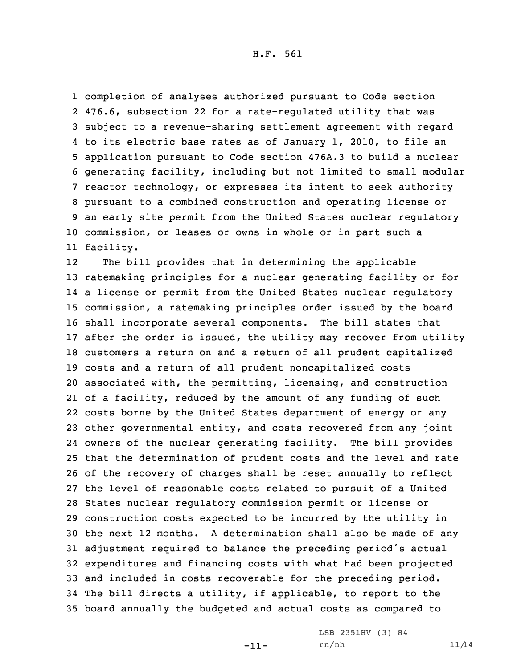completion of analyses authorized pursuant to Code section 476.6, subsection 22 for <sup>a</sup> rate-regulated utility that was subject to <sup>a</sup> revenue-sharing settlement agreement with regard to its electric base rates as of January 1, 2010, to file an application pursuant to Code section 476A.3 to build <sup>a</sup> nuclear generating facility, including but not limited to small modular reactor technology, or expresses its intent to seek authority pursuant to <sup>a</sup> combined construction and operating license or an early site permit from the United States nuclear regulatory commission, or leases or owns in whole or in part such <sup>a</sup> facility.

12The bill provides that in determining the applicable ratemaking principles for <sup>a</sup> nuclear generating facility or for <sup>a</sup> license or permit from the United States nuclear regulatory commission, <sup>a</sup> ratemaking principles order issued by the board shall incorporate several components. The bill states that after the order is issued, the utility may recover from utility customers <sup>a</sup> return on and <sup>a</sup> return of all prudent capitalized costs and <sup>a</sup> return of all prudent noncapitalized costs associated with, the permitting, licensing, and construction of <sup>a</sup> facility, reduced by the amount of any funding of such costs borne by the United States department of energy or any other governmental entity, and costs recovered from any joint owners of the nuclear generating facility. The bill provides that the determination of prudent costs and the level and rate of the recovery of charges shall be reset annually to reflect the level of reasonable costs related to pursuit of <sup>a</sup> United States nuclear regulatory commission permit or license or construction costs expected to be incurred by the utility in the next 12 months. <sup>A</sup> determination shall also be made of any adjustment required to balance the preceding period's actual expenditures and financing costs with what had been projected and included in costs recoverable for the preceding period. The bill directs <sup>a</sup> utility, if applicable, to report to the board annually the budgeted and actual costs as compared to

-11-

LSB 2351HV (3) 84 rn/nh 11/14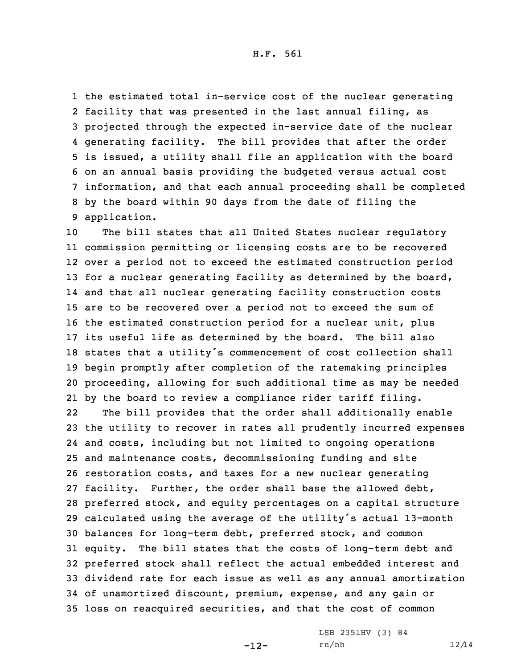the estimated total in-service cost of the nuclear generating facility that was presented in the last annual filing, as projected through the expected in-service date of the nuclear generating facility. The bill provides that after the order is issued, <sup>a</sup> utility shall file an application with the board on an annual basis providing the budgeted versus actual cost information, and that each annual proceeding shall be completed by the board within 90 days from the date of filing the application.

 The bill states that all United States nuclear regulatory commission permitting or licensing costs are to be recovered over <sup>a</sup> period not to exceed the estimated construction period 13 for a nuclear generating facility as determined by the board, and that all nuclear generating facility construction costs are to be recovered over <sup>a</sup> period not to exceed the sum of the estimated construction period for <sup>a</sup> nuclear unit, plus its useful life as determined by the board. The bill also states that <sup>a</sup> utility's commencement of cost collection shall begin promptly after completion of the ratemaking principles proceeding, allowing for such additional time as may be needed by the board to review <sup>a</sup> compliance rider tariff filing.

22 The bill provides that the order shall additionally enable the utility to recover in rates all prudently incurred expenses and costs, including but not limited to ongoing operations and maintenance costs, decommissioning funding and site restoration costs, and taxes for <sup>a</sup> new nuclear generating facility. Further, the order shall base the allowed debt, preferred stock, and equity percentages on <sup>a</sup> capital structure calculated using the average of the utility's actual 13-month balances for long-term debt, preferred stock, and common equity. The bill states that the costs of long-term debt and preferred stock shall reflect the actual embedded interest and dividend rate for each issue as well as any annual amortization of unamortized discount, premium, expense, and any gain or loss on reacquired securities, and that the cost of common

-12-

LSB 2351HV (3) 84 rn/nh 12/14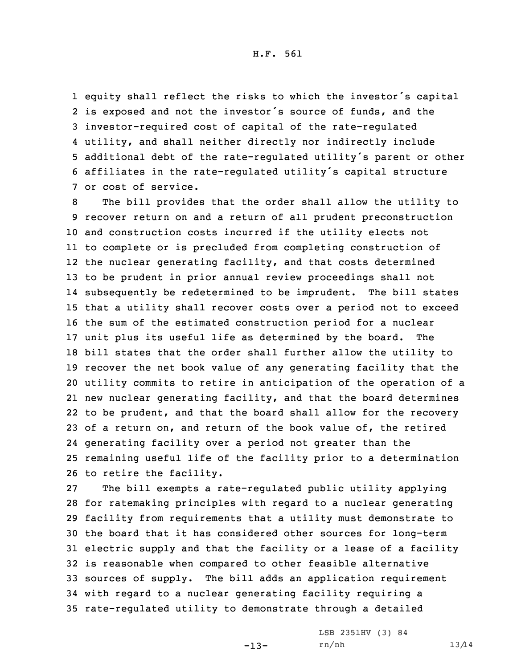equity shall reflect the risks to which the investor's capital is exposed and not the investor's source of funds, and the investor-required cost of capital of the rate-regulated utility, and shall neither directly nor indirectly include additional debt of the rate-regulated utility's parent or other affiliates in the rate-regulated utility's capital structure or cost of service.

 The bill provides that the order shall allow the utility to recover return on and <sup>a</sup> return of all prudent preconstruction and construction costs incurred if the utility elects not to complete or is precluded from completing construction of the nuclear generating facility, and that costs determined to be prudent in prior annual review proceedings shall not subsequently be redetermined to be imprudent. The bill states that <sup>a</sup> utility shall recover costs over <sup>a</sup> period not to exceed the sum of the estimated construction period for <sup>a</sup> nuclear unit plus its useful life as determined by the board. The bill states that the order shall further allow the utility to recover the net book value of any generating facility that the utility commits to retire in anticipation of the operation of <sup>a</sup> new nuclear generating facility, and that the board determines to be prudent, and that the board shall allow for the recovery of <sup>a</sup> return on, and return of the book value of, the retired generating facility over <sup>a</sup> period not greater than the remaining useful life of the facility prior to <sup>a</sup> determination to retire the facility.

 The bill exempts <sup>a</sup> rate-regulated public utility applying for ratemaking principles with regard to <sup>a</sup> nuclear generating facility from requirements that <sup>a</sup> utility must demonstrate to the board that it has considered other sources for long-term electric supply and that the facility or <sup>a</sup> lease of <sup>a</sup> facility is reasonable when compared to other feasible alternative sources of supply. The bill adds an application requirement with regard to <sup>a</sup> nuclear generating facility requiring <sup>a</sup> rate-regulated utility to demonstrate through <sup>a</sup> detailed

LSB 2351HV (3) 84

-13-

rn/nh 13/14